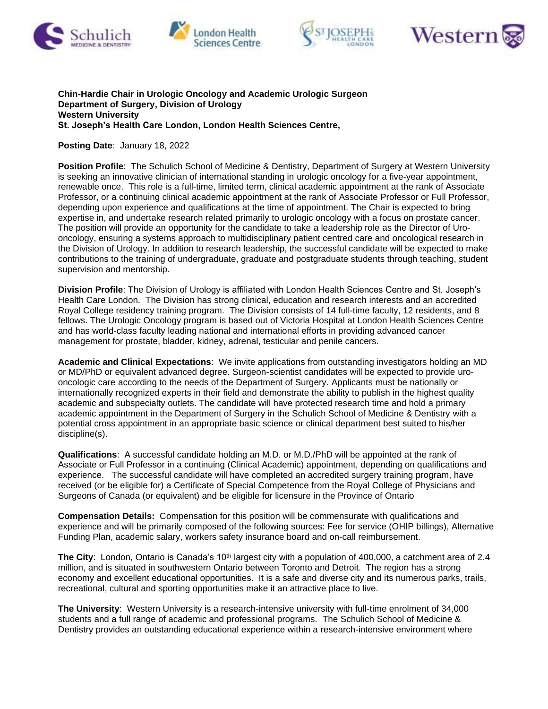







## **Chin-Hardie Chair in Urologic Oncology and Academic Urologic Surgeon Department of Surgery, Division of Urology Western University St. Joseph's Health Care London, London Health Sciences Centre,**

## **Posting Date**: January 18, 2022

**Position Profile**: The Schulich School of Medicine & Dentistry, Department of Surgery at Western University is seeking an innovative clinician of international standing in urologic oncology for a five-year appointment, renewable once. This role is a full-time, limited term, clinical academic appointment at the rank of Associate Professor, or a continuing clinical academic appointment at the rank of Associate Professor or Full Professor, depending upon experience and qualifications at the time of appointment. The Chair is expected to bring expertise in, and undertake research related primarily to urologic oncology with a focus on prostate cancer. The position will provide an opportunity for the candidate to take a leadership role as the Director of Urooncology, ensuring a systems approach to multidisciplinary patient centred care and oncological research in the Division of Urology. In addition to research leadership, the successful candidate will be expected to make contributions to the training of undergraduate, graduate and postgraduate students through teaching, student supervision and mentorship.

**Division Profile**: The Division of Urology is affiliated with London Health Sciences Centre and St. Joseph's Health Care London. The Division has strong clinical, education and research interests and an accredited Royal College residency training program. The Division consists of 14 full-time faculty, 12 residents, and 8 fellows. The Urologic Oncology program is based out of Victoria Hospital at London Health Sciences Centre and has world-class faculty leading national and international efforts in providing advanced cancer management for prostate, bladder, kidney, adrenal, testicular and penile cancers.

**Academic and Clinical Expectations**: We invite applications from outstanding investigators holding an MD or MD/PhD or equivalent advanced degree. Surgeon-scientist candidates will be expected to provide urooncologic care according to the needs of the Department of Surgery. Applicants must be nationally or internationally recognized experts in their field and demonstrate the ability to publish in the highest quality academic and subspecialty outlets. The candidate will have protected research time and hold a primary academic appointment in the Department of Surgery in the Schulich School of Medicine & Dentistry with a potential cross appointment in an appropriate basic science or clinical department best suited to his/her discipline(s).

**Qualifications**: A successful candidate holding an M.D. or M.D./PhD will be appointed at the rank of Associate or Full Professor in a continuing (Clinical Academic) appointment, depending on qualifications and experience. The successful candidate will have completed an accredited surgery training program, have received (or be eligible for) a Certificate of Special Competence from the Royal College of Physicians and Surgeons of Canada (or equivalent) and be eligible for licensure in the Province of Ontario

**Compensation Details:** Compensation for this position will be commensurate with qualifications and experience and will be primarily composed of the following sources: Fee for service (OHIP billings), Alternative Funding Plan, academic salary, workers safety insurance board and on-call reimbursement.

**The City**: London, Ontario is Canada's 10<sup>th</sup> largest city with a population of 400,000, a catchment area of 2.4 million, and is situated in southwestern Ontario between Toronto and Detroit. The region has a strong economy and excellent educational opportunities. It is a safe and diverse city and its numerous parks, trails, recreational, cultural and sporting opportunities make it an attractive place to live.

**The University**: Western University is a research-intensive university with full-time enrolment of 34,000 students and a full range of academic and professional programs. The Schulich School of Medicine & Dentistry provides an outstanding educational experience within a research-intensive environment where